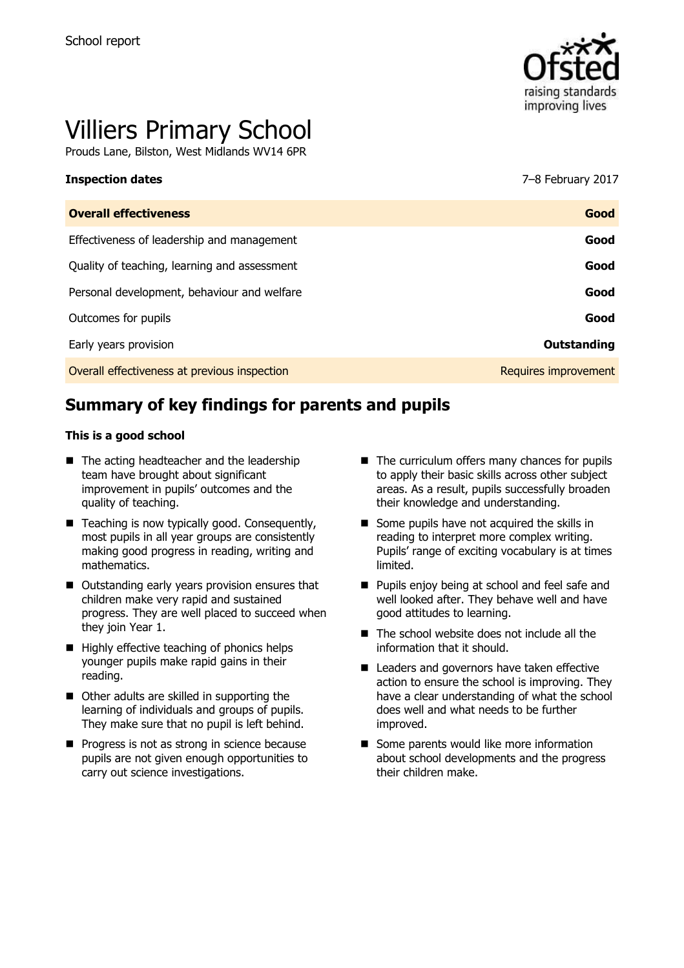

# Villiers Primary School

Prouds Lane, Bilston, West Midlands WV14 6PR

#### **Inspection dates** 7–8 February 2017

| Good                 |
|----------------------|
| Good                 |
| Good                 |
| Good                 |
| Good                 |
| Outstanding          |
| Requires improvement |
|                      |

# **Summary of key findings for parents and pupils**

#### **This is a good school**

- The acting headteacher and the leadership team have brought about significant improvement in pupils' outcomes and the quality of teaching.
- Teaching is now typically good. Consequently, most pupils in all year groups are consistently making good progress in reading, writing and mathematics.
- Outstanding early years provision ensures that children make very rapid and sustained progress. They are well placed to succeed when they join Year 1.
- $\blacksquare$  Highly effective teaching of phonics helps younger pupils make rapid gains in their reading.
- Other adults are skilled in supporting the learning of individuals and groups of pupils. They make sure that no pupil is left behind.
- **Progress is not as strong in science because** pupils are not given enough opportunities to carry out science investigations.
- The curriculum offers many chances for pupils to apply their basic skills across other subject areas. As a result, pupils successfully broaden their knowledge and understanding.
- Some pupils have not acquired the skills in reading to interpret more complex writing. Pupils' range of exciting vocabulary is at times limited.
- **Pupils enjoy being at school and feel safe and** well looked after. They behave well and have good attitudes to learning.
- The school website does not include all the information that it should.
- Leaders and governors have taken effective action to ensure the school is improving. They have a clear understanding of what the school does well and what needs to be further improved.
- Some parents would like more information about school developments and the progress their children make.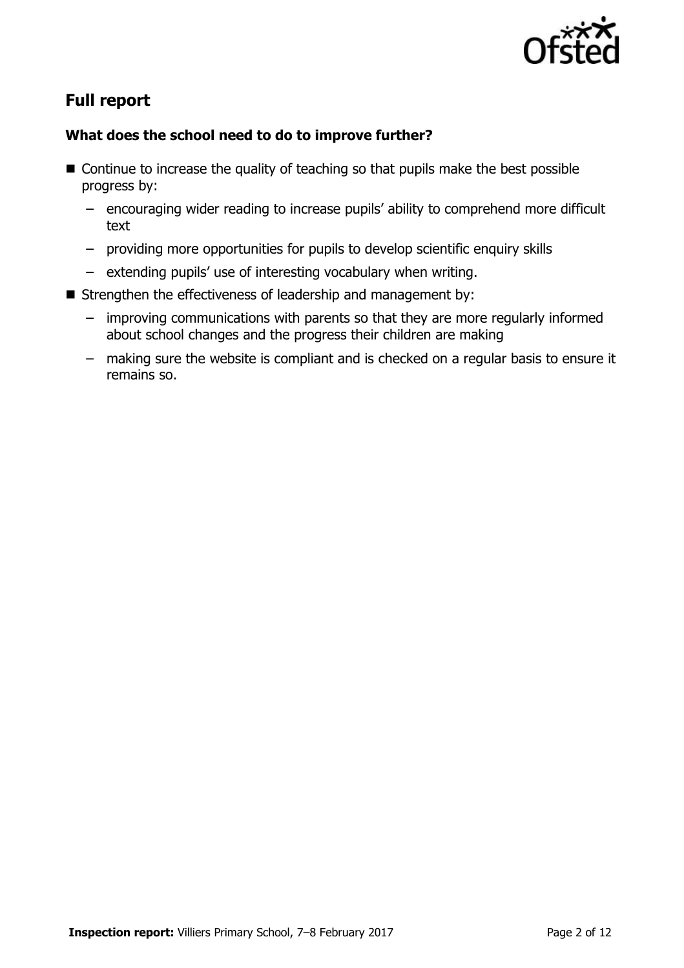

# **Full report**

### **What does the school need to do to improve further?**

- Continue to increase the quality of teaching so that pupils make the best possible progress by:
	- encouraging wider reading to increase pupils' ability to comprehend more difficult text
	- providing more opportunities for pupils to develop scientific enquiry skills
	- extending pupils' use of interesting vocabulary when writing.
- Strengthen the effectiveness of leadership and management by:
	- improving communications with parents so that they are more regularly informed about school changes and the progress their children are making
	- making sure the website is compliant and is checked on a regular basis to ensure it remains so.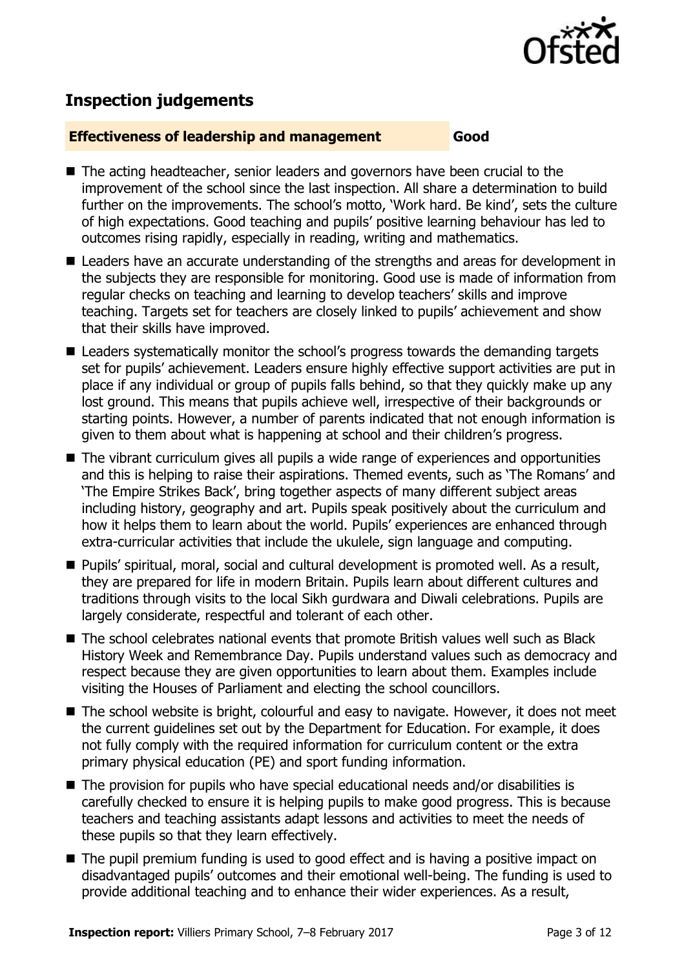

# **Inspection judgements**

#### **Effectiveness of leadership and management Good**

- The acting headteacher, senior leaders and governors have been crucial to the improvement of the school since the last inspection. All share a determination to build further on the improvements. The school's motto, 'Work hard. Be kind', sets the culture of high expectations. Good teaching and pupils' positive learning behaviour has led to outcomes rising rapidly, especially in reading, writing and mathematics.
- Leaders have an accurate understanding of the strengths and areas for development in the subjects they are responsible for monitoring. Good use is made of information from regular checks on teaching and learning to develop teachers' skills and improve teaching. Targets set for teachers are closely linked to pupils' achievement and show that their skills have improved.
- Leaders systematically monitor the school's progress towards the demanding targets set for pupils' achievement. Leaders ensure highly effective support activities are put in place if any individual or group of pupils falls behind, so that they quickly make up any lost ground. This means that pupils achieve well, irrespective of their backgrounds or starting points. However, a number of parents indicated that not enough information is given to them about what is happening at school and their children's progress.
- The vibrant curriculum gives all pupils a wide range of experiences and opportunities and this is helping to raise their aspirations. Themed events, such as 'The Romans' and 'The Empire Strikes Back', bring together aspects of many different subject areas including history, geography and art. Pupils speak positively about the curriculum and how it helps them to learn about the world. Pupils' experiences are enhanced through extra-curricular activities that include the ukulele, sign language and computing.
- Pupils' spiritual, moral, social and cultural development is promoted well. As a result, they are prepared for life in modern Britain. Pupils learn about different cultures and traditions through visits to the local Sikh gurdwara and Diwali celebrations. Pupils are largely considerate, respectful and tolerant of each other.
- The school celebrates national events that promote British values well such as Black History Week and Remembrance Day. Pupils understand values such as democracy and respect because they are given opportunities to learn about them. Examples include visiting the Houses of Parliament and electing the school councillors.
- The school website is bright, colourful and easy to navigate. However, it does not meet the current guidelines set out by the Department for Education. For example, it does not fully comply with the required information for curriculum content or the extra primary physical education (PE) and sport funding information.
- The provision for pupils who have special educational needs and/or disabilities is carefully checked to ensure it is helping pupils to make good progress. This is because teachers and teaching assistants adapt lessons and activities to meet the needs of these pupils so that they learn effectively.
- The pupil premium funding is used to good effect and is having a positive impact on disadvantaged pupils' outcomes and their emotional well-being. The funding is used to provide additional teaching and to enhance their wider experiences. As a result,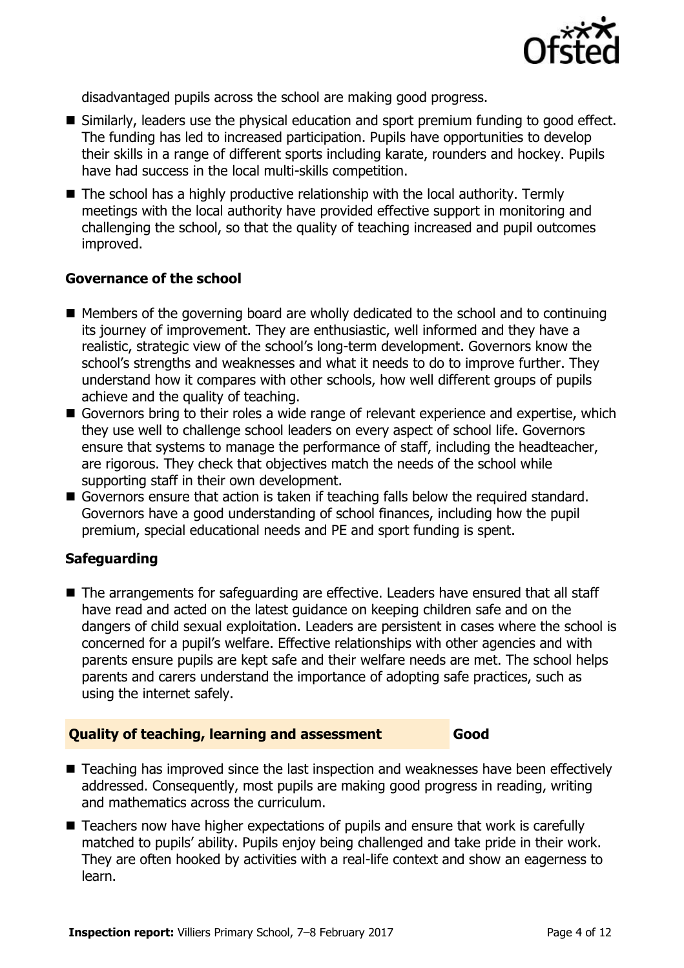

disadvantaged pupils across the school are making good progress.

- Similarly, leaders use the physical education and sport premium funding to good effect. The funding has led to increased participation. Pupils have opportunities to develop their skills in a range of different sports including karate, rounders and hockey. Pupils have had success in the local multi-skills competition.
- The school has a highly productive relationship with the local authority. Termly meetings with the local authority have provided effective support in monitoring and challenging the school, so that the quality of teaching increased and pupil outcomes improved.

#### **Governance of the school**

- $\blacksquare$  Members of the governing board are wholly dedicated to the school and to continuing its journey of improvement. They are enthusiastic, well informed and they have a realistic, strategic view of the school's long-term development. Governors know the school's strengths and weaknesses and what it needs to do to improve further. They understand how it compares with other schools, how well different groups of pupils achieve and the quality of teaching.
- Governors bring to their roles a wide range of relevant experience and expertise, which they use well to challenge school leaders on every aspect of school life. Governors ensure that systems to manage the performance of staff, including the headteacher, are rigorous. They check that objectives match the needs of the school while supporting staff in their own development.
- Governors ensure that action is taken if teaching falls below the required standard. Governors have a good understanding of school finances, including how the pupil premium, special educational needs and PE and sport funding is spent.

#### **Safeguarding**

■ The arrangements for safeguarding are effective. Leaders have ensured that all staff have read and acted on the latest guidance on keeping children safe and on the dangers of child sexual exploitation. Leaders are persistent in cases where the school is concerned for a pupil's welfare. Effective relationships with other agencies and with parents ensure pupils are kept safe and their welfare needs are met. The school helps parents and carers understand the importance of adopting safe practices, such as using the internet safely.

#### **Quality of teaching, learning and assessment Good**

■ Teaching has improved since the last inspection and weaknesses have been effectively addressed. Consequently, most pupils are making good progress in reading, writing and mathematics across the curriculum.

■ Teachers now have higher expectations of pupils and ensure that work is carefully matched to pupils' ability. Pupils enjoy being challenged and take pride in their work. They are often hooked by activities with a real-life context and show an eagerness to learn.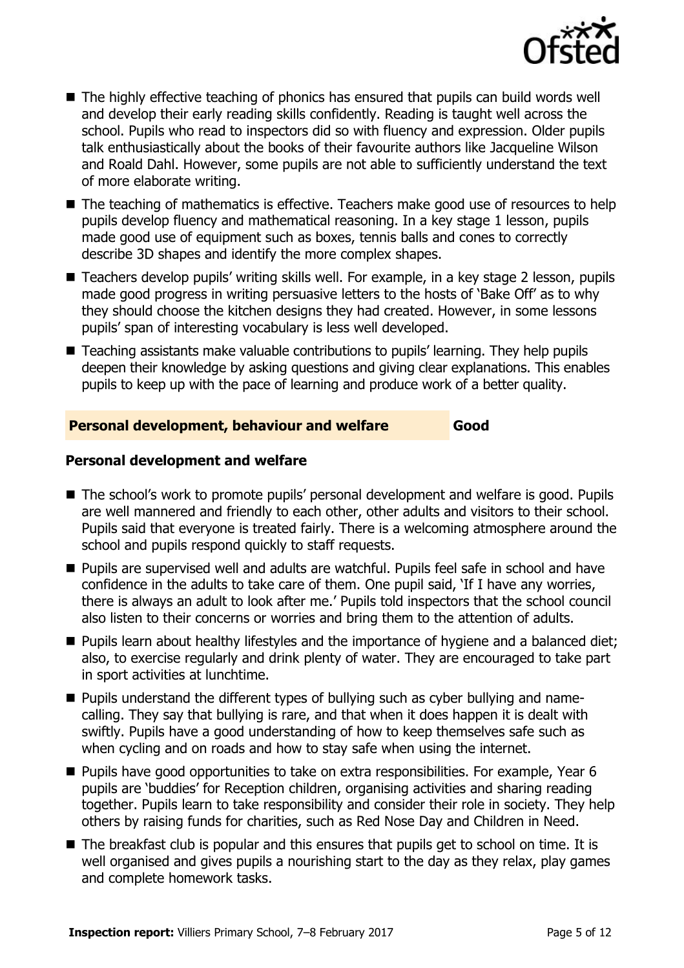

- The highly effective teaching of phonics has ensured that pupils can build words well and develop their early reading skills confidently. Reading is taught well across the school. Pupils who read to inspectors did so with fluency and expression. Older pupils talk enthusiastically about the books of their favourite authors like Jacqueline Wilson and Roald Dahl. However, some pupils are not able to sufficiently understand the text of more elaborate writing.
- The teaching of mathematics is effective. Teachers make good use of resources to help pupils develop fluency and mathematical reasoning. In a key stage 1 lesson, pupils made good use of equipment such as boxes, tennis balls and cones to correctly describe 3D shapes and identify the more complex shapes.
- Teachers develop pupils' writing skills well. For example, in a key stage 2 lesson, pupils made good progress in writing persuasive letters to the hosts of 'Bake Off' as to why they should choose the kitchen designs they had created. However, in some lessons pupils' span of interesting vocabulary is less well developed.
- Teaching assistants make valuable contributions to pupils' learning. They help pupils deepen their knowledge by asking questions and giving clear explanations. This enables pupils to keep up with the pace of learning and produce work of a better quality.

#### **Personal development, behaviour and welfare Good**

#### **Personal development and welfare**

- The school's work to promote pupils' personal development and welfare is good. Pupils are well mannered and friendly to each other, other adults and visitors to their school. Pupils said that everyone is treated fairly. There is a welcoming atmosphere around the school and pupils respond quickly to staff requests.
- Pupils are supervised well and adults are watchful. Pupils feel safe in school and have confidence in the adults to take care of them. One pupil said, 'If I have any worries, there is always an adult to look after me.' Pupils told inspectors that the school council also listen to their concerns or worries and bring them to the attention of adults.
- **Pupils learn about healthy lifestyles and the importance of hygiene and a balanced diet;** also, to exercise regularly and drink plenty of water. They are encouraged to take part in sport activities at lunchtime.
- **Pupils understand the different types of bullying such as cyber bullying and name**calling. They say that bullying is rare, and that when it does happen it is dealt with swiftly. Pupils have a good understanding of how to keep themselves safe such as when cycling and on roads and how to stay safe when using the internet.
- Pupils have good opportunities to take on extra responsibilities. For example, Year 6 pupils are 'buddies' for Reception children, organising activities and sharing reading together. Pupils learn to take responsibility and consider their role in society. They help others by raising funds for charities, such as Red Nose Day and Children in Need.
- The breakfast club is popular and this ensures that pupils get to school on time. It is well organised and gives pupils a nourishing start to the day as they relax, play games and complete homework tasks.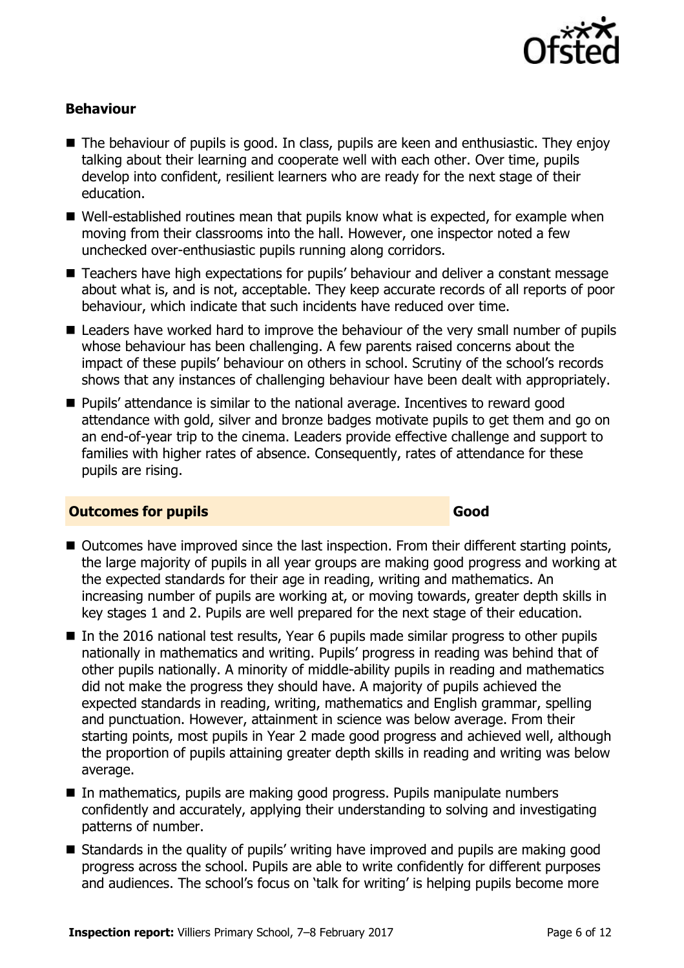

### **Behaviour**

- The behaviour of pupils is good. In class, pupils are keen and enthusiastic. They enjoy talking about their learning and cooperate well with each other. Over time, pupils develop into confident, resilient learners who are ready for the next stage of their education.
- Well-established routines mean that pupils know what is expected, for example when moving from their classrooms into the hall. However, one inspector noted a few unchecked over-enthusiastic pupils running along corridors.
- Teachers have high expectations for pupils' behaviour and deliver a constant message about what is, and is not, acceptable. They keep accurate records of all reports of poor behaviour, which indicate that such incidents have reduced over time.
- Leaders have worked hard to improve the behaviour of the very small number of pupils whose behaviour has been challenging. A few parents raised concerns about the impact of these pupils' behaviour on others in school. Scrutiny of the school's records shows that any instances of challenging behaviour have been dealt with appropriately.
- Pupils' attendance is similar to the national average. Incentives to reward good attendance with gold, silver and bronze badges motivate pupils to get them and go on an end-of-year trip to the cinema. Leaders provide effective challenge and support to families with higher rates of absence. Consequently, rates of attendance for these pupils are rising.

#### **Outcomes for pupils Good**

- Outcomes have improved since the last inspection. From their different starting points, the large majority of pupils in all year groups are making good progress and working at the expected standards for their age in reading, writing and mathematics. An increasing number of pupils are working at, or moving towards, greater depth skills in key stages 1 and 2. Pupils are well prepared for the next stage of their education.
- In the 2016 national test results, Year 6 pupils made similar progress to other pupils nationally in mathematics and writing. Pupils' progress in reading was behind that of other pupils nationally. A minority of middle-ability pupils in reading and mathematics did not make the progress they should have. A majority of pupils achieved the expected standards in reading, writing, mathematics and English grammar, spelling and punctuation. However, attainment in science was below average. From their starting points, most pupils in Year 2 made good progress and achieved well, although the proportion of pupils attaining greater depth skills in reading and writing was below average.
- In mathematics, pupils are making good progress. Pupils manipulate numbers confidently and accurately, applying their understanding to solving and investigating patterns of number.
- Standards in the quality of pupils' writing have improved and pupils are making good progress across the school. Pupils are able to write confidently for different purposes and audiences. The school's focus on 'talk for writing' is helping pupils become more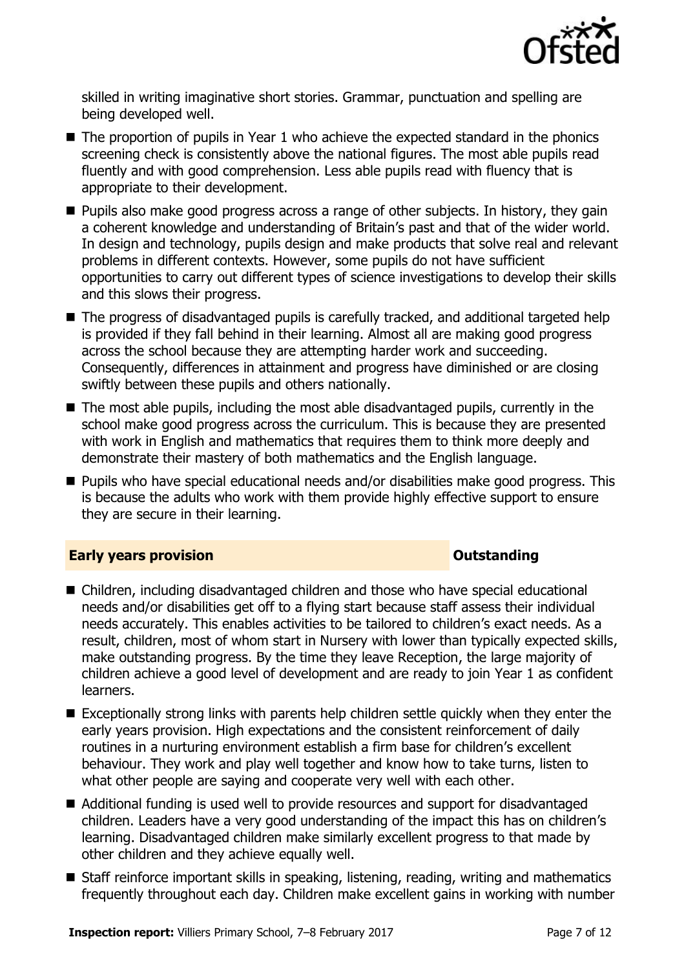

skilled in writing imaginative short stories. Grammar, punctuation and spelling are being developed well.

- The proportion of pupils in Year 1 who achieve the expected standard in the phonics screening check is consistently above the national figures. The most able pupils read fluently and with good comprehension. Less able pupils read with fluency that is appropriate to their development.
- **Pupils also make good progress across a range of other subjects. In history, they gain** a coherent knowledge and understanding of Britain's past and that of the wider world. In design and technology, pupils design and make products that solve real and relevant problems in different contexts. However, some pupils do not have sufficient opportunities to carry out different types of science investigations to develop their skills and this slows their progress.
- The progress of disadvantaged pupils is carefully tracked, and additional targeted help is provided if they fall behind in their learning. Almost all are making good progress across the school because they are attempting harder work and succeeding. Consequently, differences in attainment and progress have diminished or are closing swiftly between these pupils and others nationally.
- The most able pupils, including the most able disadvantaged pupils, currently in the school make good progress across the curriculum. This is because they are presented with work in English and mathematics that requires them to think more deeply and demonstrate their mastery of both mathematics and the English language.
- **Pupils who have special educational needs and/or disabilities make good progress. This** is because the adults who work with them provide highly effective support to ensure they are secure in their learning.

#### **Early years provision CONSISTER SERVICES CONSISTENT CONSTANT CONSTANT CONSTANT CONSISTENT CONSISTENT CONSISTENT CONSISTENT CONSISTENT CONSISTENT CONSISTENT CONSISTENT CONSISTENT CONSISTENT CONSISTENT CONSISTENT CONSIS**

- Children, including disadvantaged children and those who have special educational needs and/or disabilities get off to a flying start because staff assess their individual needs accurately. This enables activities to be tailored to children's exact needs. As a result, children, most of whom start in Nursery with lower than typically expected skills, make outstanding progress. By the time they leave Reception, the large majority of children achieve a good level of development and are ready to join Year 1 as confident learners.
- Exceptionally strong links with parents help children settle quickly when they enter the early years provision. High expectations and the consistent reinforcement of daily routines in a nurturing environment establish a firm base for children's excellent behaviour. They work and play well together and know how to take turns, listen to what other people are saying and cooperate very well with each other.
- Additional funding is used well to provide resources and support for disadvantaged children. Leaders have a very good understanding of the impact this has on children's learning. Disadvantaged children make similarly excellent progress to that made by other children and they achieve equally well.
- Staff reinforce important skills in speaking, listening, reading, writing and mathematics frequently throughout each day. Children make excellent gains in working with number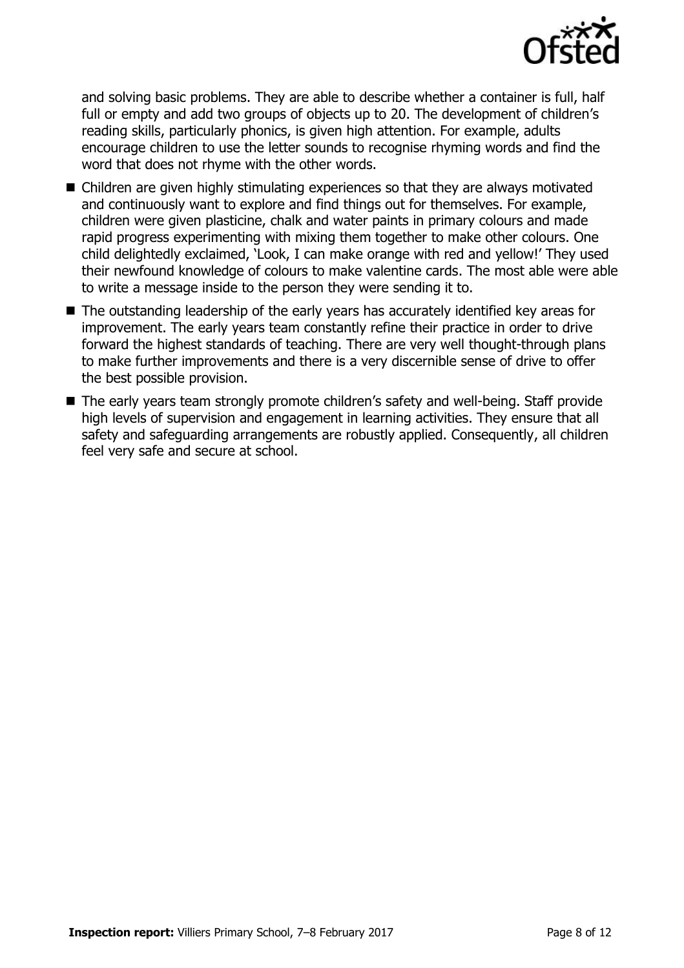

and solving basic problems. They are able to describe whether a container is full, half full or empty and add two groups of objects up to 20. The development of children's reading skills, particularly phonics, is given high attention. For example, adults encourage children to use the letter sounds to recognise rhyming words and find the word that does not rhyme with the other words.

- Children are given highly stimulating experiences so that they are always motivated and continuously want to explore and find things out for themselves. For example, children were given plasticine, chalk and water paints in primary colours and made rapid progress experimenting with mixing them together to make other colours. One child delightedly exclaimed, 'Look, I can make orange with red and yellow!' They used their newfound knowledge of colours to make valentine cards. The most able were able to write a message inside to the person they were sending it to.
- The outstanding leadership of the early years has accurately identified key areas for improvement. The early years team constantly refine their practice in order to drive forward the highest standards of teaching. There are very well thought-through plans to make further improvements and there is a very discernible sense of drive to offer the best possible provision.
- The early years team strongly promote children's safety and well-being. Staff provide high levels of supervision and engagement in learning activities. They ensure that all safety and safeguarding arrangements are robustly applied. Consequently, all children feel very safe and secure at school.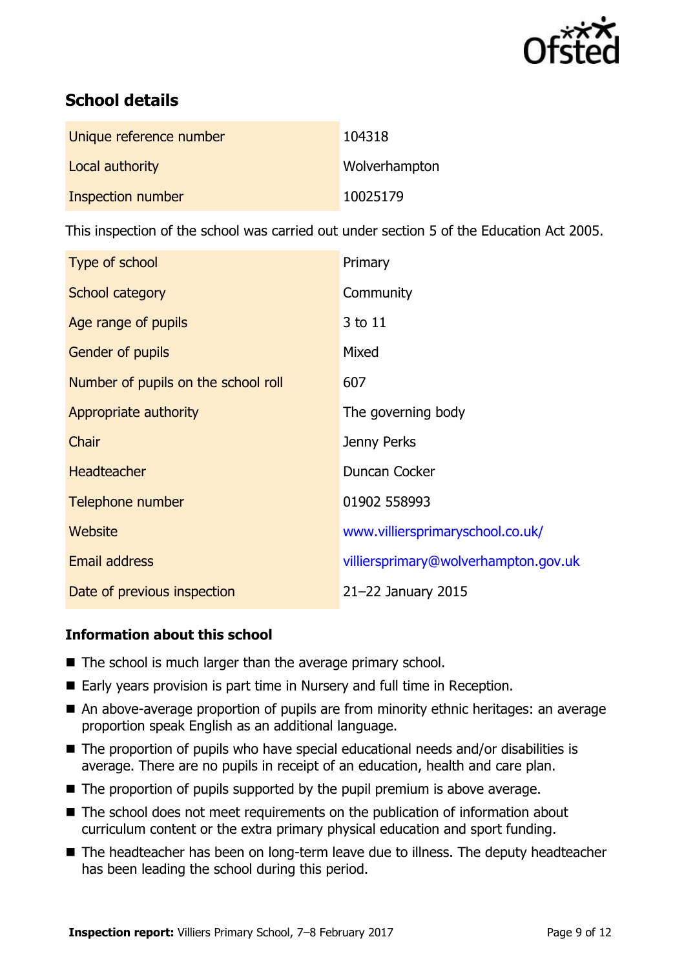

# **School details**

| Unique reference number | 104318        |
|-------------------------|---------------|
| Local authority         | Wolverhampton |
| Inspection number       | 10025179      |

This inspection of the school was carried out under section 5 of the Education Act 2005.

| Type of school                      | Primary                              |
|-------------------------------------|--------------------------------------|
| School category                     | Community                            |
| Age range of pupils                 | 3 to 11                              |
| <b>Gender of pupils</b>             | Mixed                                |
| Number of pupils on the school roll | 607                                  |
| Appropriate authority               | The governing body                   |
| Chair                               | Jenny Perks                          |
| <b>Headteacher</b>                  | Duncan Cocker                        |
| Telephone number                    | 01902 558993                         |
| Website                             | www.villiersprimaryschool.co.uk/     |
| <b>Email address</b>                | villiersprimary@wolverhampton.gov.uk |
| Date of previous inspection         | 21-22 January 2015                   |

#### **Information about this school**

- The school is much larger than the average primary school.
- Early years provision is part time in Nursery and full time in Reception.
- An above-average proportion of pupils are from minority ethnic heritages: an average proportion speak English as an additional language.
- The proportion of pupils who have special educational needs and/or disabilities is average. There are no pupils in receipt of an education, health and care plan.
- $\blacksquare$  The proportion of pupils supported by the pupil premium is above average.
- The school does not meet requirements on the publication of information about curriculum content or the extra primary physical education and sport funding.
- The headteacher has been on long-term leave due to illness. The deputy headteacher has been leading the school during this period.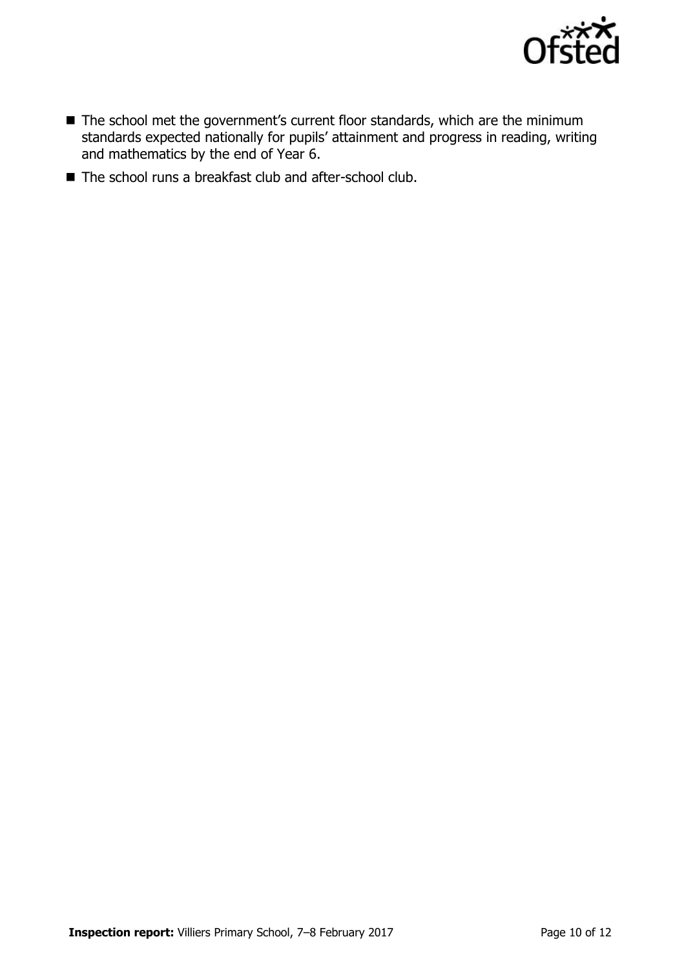

- The school met the government's current floor standards, which are the minimum standards expected nationally for pupils' attainment and progress in reading, writing and mathematics by the end of Year 6.
- The school runs a breakfast club and after-school club.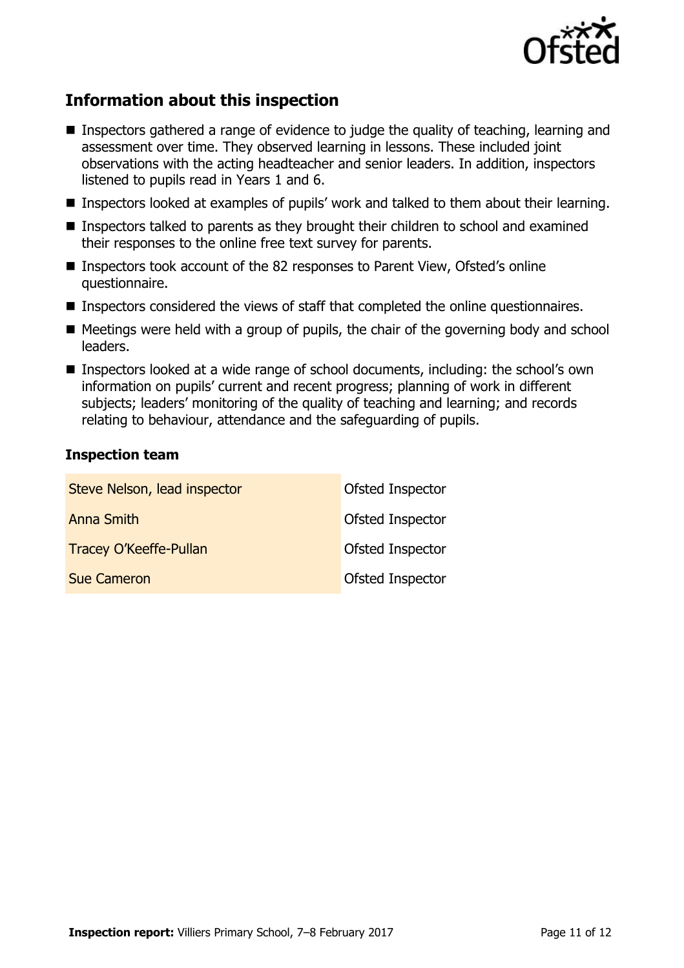

# **Information about this inspection**

- Inspectors gathered a range of evidence to judge the quality of teaching, learning and assessment over time. They observed learning in lessons. These included joint observations with the acting headteacher and senior leaders. In addition, inspectors listened to pupils read in Years 1 and 6.
- Inspectors looked at examples of pupils' work and talked to them about their learning.
- Inspectors talked to parents as they brought their children to school and examined their responses to the online free text survey for parents.
- Inspectors took account of the 82 responses to Parent View, Ofsted's online questionnaire.
- Inspectors considered the views of staff that completed the online questionnaires.
- $\blacksquare$  Meetings were held with a group of pupils, the chair of the governing body and school leaders.
- Inspectors looked at a wide range of school documents, including: the school's own information on pupils' current and recent progress; planning of work in different subjects; leaders' monitoring of the quality of teaching and learning; and records relating to behaviour, attendance and the safeguarding of pupils.

#### **Inspection team**

| Steve Nelson, lead inspector  | Ofsted Inspector |
|-------------------------------|------------------|
| <b>Anna Smith</b>             | Ofsted Inspector |
| <b>Tracey O'Keeffe-Pullan</b> | Ofsted Inspector |
| <b>Sue Cameron</b>            | Ofsted Inspector |